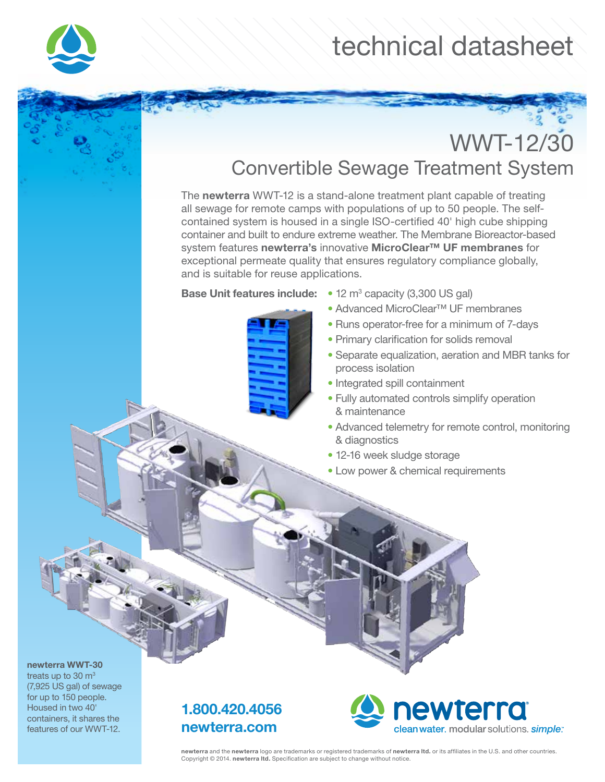

# technical datasheet

## WWT-12/30 Convertible Sewage Treatment System

The newterra WWT-12 is a stand-alone treatment plant capable of treating all sewage for remote camps with populations of up to 50 people. The selfcontained system is housed in a single ISO-certified 40' high cube shipping container and built to endure extreme weather. The Membrane Bioreactor-based system features newterra's innovative MicroClear™ UF membranes for exceptional permeate quality that ensures regulatory compliance globally, and is suitable for reuse applications.



- **Base Unit features include:**  $\bullet$  12 m<sup>3</sup> capacity (3,300 US gal)
	- Advanced MicroClear™ UF membranes
	- Runs operator-free for a minimum of 7-days
	- Primary clarification for solids removal
	- Separate equalization, aeration and MBR tanks for process isolation
	- Integrated spill containment
	- Fully automated controls simplify operation & maintenance
	- Advanced telemetry for remote control, monitoring & diagnostics
	- 12-16 week sludge storage
	- Low power & chemical requirements

#### newterra WWT-30

treats up to  $30 \text{ m}^3$ (7,925 US gal) of sewage for up to 150 people. Housed in two 40' containers, it shares the features of our WWT-12.

### 1.800.420.4056 newterra.com



newterra and the newterra logo are trademarks or registered trademarks of newterra ltd. or its affiliates in the U.S. and other countries. Copyright © 2014. newterra ltd. Specification are subject to change without notice.